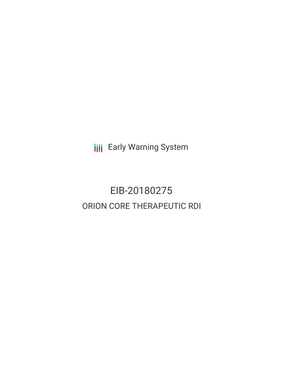**III** Early Warning System

# EIB-20180275 ORION CORE THERAPEUTIC RDI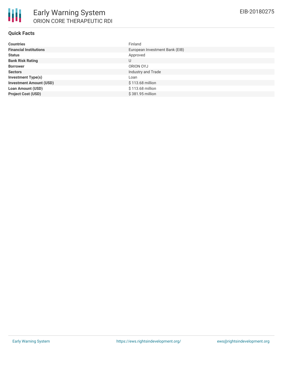

#### **Quick Facts**

| <b>Countries</b>               | Finland                        |
|--------------------------------|--------------------------------|
| <b>Financial Institutions</b>  | European Investment Bank (EIB) |
| <b>Status</b>                  | Approved                       |
| <b>Bank Risk Rating</b>        | U                              |
| <b>Borrower</b>                | ORION OYJ                      |
| <b>Sectors</b>                 | Industry and Trade             |
| <b>Investment Type(s)</b>      | Loan                           |
| <b>Investment Amount (USD)</b> | \$113.68 million               |
| <b>Loan Amount (USD)</b>       | \$113.68 million               |
| <b>Project Cost (USD)</b>      | \$381.95 million               |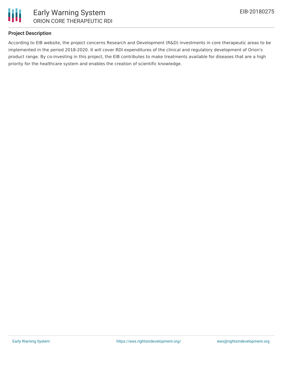

#### **Project Description**

According to EIB website, the project concerns Research and Development (R&D) investments in core therapeutic areas to be implemented in the period 2018-2020. It will cover RDI expenditures of the clinical and regulatory development of Orion's product range. By co-investing in this project, the EIB contributes to make treatments available for diseases that are a high priority for the healthcare system and enables the creation of scientific knowledge.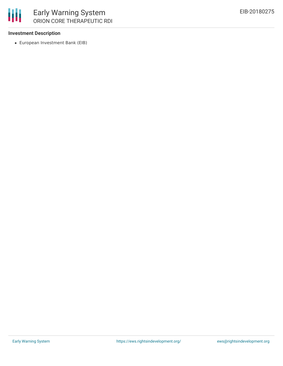

#### **Investment Description**

European Investment Bank (EIB)